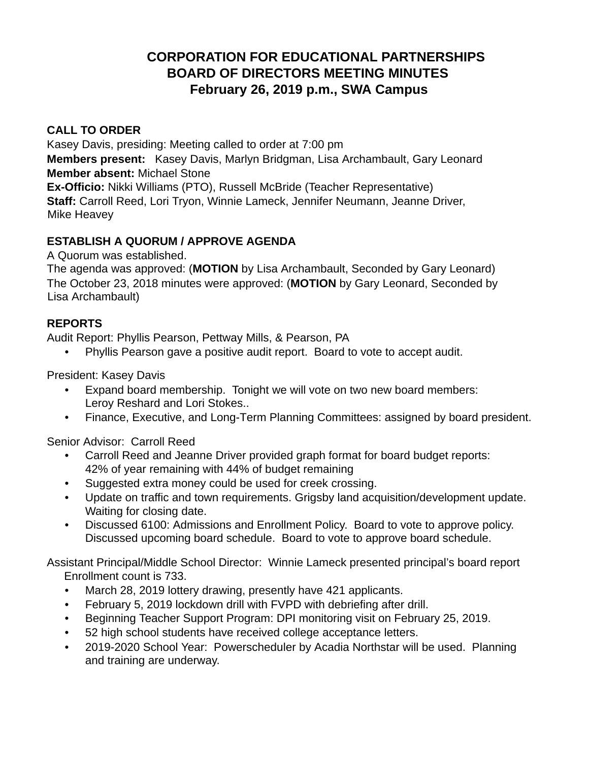# **CORPORATION FOR EDUCATIONAL PARTNERSHIPS BOARD OF DIRECTORS MEETING MINUTES February 26, 2019 p.m., SWA Campus**

### **CALL TO ORDER**

Kasey Davis, presiding: Meeting called to order at 7:00 pm

**Members present:** Kasey Davis, Marlyn Bridgman, Lisa Archambault, Gary Leonard **Member absent:** Michael Stone

**Ex-Officio:** Nikki Williams (PTO), Russell McBride (Teacher Representative) **Staff:** Carroll Reed, Lori Tryon, Winnie Lameck, Jennifer Neumann, Jeanne Driver, Mike Heavey

### **ESTABLISH A QUORUM / APPROVE AGENDA**

A Quorum was established.

The agenda was approved: (**MOTION** by Lisa Archambault, Seconded by Gary Leonard) The October 23, 2018 minutes were approved: (**MOTION** by Gary Leonard, Seconded by Lisa Archambault)

### **REPORTS**

Audit Report: Phyllis Pearson, Pettway Mills, & Pearson, PA

• Phyllis Pearson gave a positive audit report. Board to vote to accept audit.

President: Kasey Davis

- Expand board membership. Tonight we will vote on two new board members: Leroy Reshard and Lori Stokes.. •
- Finance, Executive, and Long-Term Planning Committees: assigned by board president.

Senior Advisor: Carroll Reed

- Carroll Reed and Jeanne Driver provided graph format for board budget reports: 42% of year remaining with 44% of budget remaining •
- Suggested extra money could be used for creek crossing.
- Update on traffic and town requirements. Grigsby land acquisition/development update. Waiting for closing date. •
- Discussed 6100: Admissions and Enrollment Policy. Board to vote to approve policy. Discussed upcoming board schedule. Board to vote to approve board schedule. •

Assistant Principal/Middle School Director: Winnie Lameck presented principal's board report Enrollment count is 733.

- March 28, 2019 lottery drawing, presently have 421 applicants.
- February 5, 2019 lockdown drill with FVPD with debriefing after drill.
- Beginning Teacher Support Program: DPI monitoring visit on February 25, 2019.
- 52 high school students have received college acceptance letters.
- 2019-2020 School Year: Powerscheduler by Acadia Northstar will be used. Planning and training are underway. •